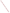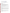# **Technical Factsheet on: CARBOFURAN**

[List of Contaminants](http://www.epa.gov/safewater/hfacts.html) 

 As part of the Drinking Water and Health pages, this fact sheet is part of a larger publication: **National Primary Drinking Water Regulations** 

 MCL: 0.04 mg/L Drinking Water Standards MCLG: 0.04 mg/L HAL(child): 1 day: 0.05 mg/L; Longer-term: 0.05 mg/L

# **Health Effects Summary**

 Acute: EPA has found carbofuran to potentially cause a variety of nervous system effects from acute exposures, including: headache, sweating, nausea, diarrhea, chest pains, blurred vision, anxiety and general muscular weakness. These effects are largely due to carbofuran's rapid inhibition of cholinesterase activity, and is generally reversible once exposure ceases.

 consuming 1 liter of water per day, upto a 7-year exposure to 0.05 mg/L. Drinking water levels which are considered "safe" for short-term exposures: For a 10-kg (22 lb.) child

 Chronic: Available data on chronic toxic effects from oral exposures to carbofuran have shown that low doses of carbofuran appear to have little or no adverse health effects. Higher doses have the potential to cause damage to the nervous and reproductive systems.

 drinking water. Cancer: There is no evidence that carbofuran has the potential to cause cancer from lifetime exposures in

## **Usage Patterns**

A 1984 report estimated that application on alfalfa and rice accounted for about 90% of carbofuran use, with turf and grapes making up most of the remainder. Earlier uses were primarily on corn crops. This broad spectrum insecticide is sprayed directly onto soil and plants just after emergence to control beetles, nematodes and rootworm.

 pumpkins, cucumbers, watermelons, cantaloupes and squash; dry harvested cranberries,; pine progeny After September 1994, carbofuran will be allowed for use on only five U.S. crops: bananas (in Hawaii); tests; and spinach grown for seed. Carbofuran will soon be banned from use on corn and sorghum in California.

## **Release Patterns**

Carbofuran enters surface water as a result of runoff from treated fields and enters ground water by leaching of treated crops.

 EPA's 1990 National Pesticide Survey did not detect carbofuran levels above the MCL in rural domestic wells or Community Water System wells. EPA's Pesticides in Ground Water Database reports few detections of carbofuran in ground water between 1971 and 1991.

# **Environmental Fate**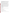processes. Chemical hydrolysis is expected to occur more rapidly in alkaline soil as compared to neutral or acidic soils. Soil biodegradation may be important, with the rate of degradation of carbofuran in soil If released to soil, chemical hydrolysis and microbial degradation appear to be the important degradation greatly increased by pretreatment with carbofuran.

 significantly in many soils, as has been seen in the detection of carbofuran in water table aquifers Experimentally measured Koc values ranging from 14 to 160 indicate that carbofuran may leach beneath sandy soils in NY and WI. Leaching may not occur, however, in very high organic content soils (65% carbon).

Volatilization from soil is not expected to be significant, although some evaporation from plants may occur. A review of literature reported the following half-lives for carbofuran disappearance in soil: 2-72 days in laboratory studies, 2-86 days for flooded soils and 26-110 days for field soil.

If released to water, carbofuran will be subject to significant hydrolysis under alkaline conditions. The hydrolysis half-lives in water at 25 deg C are 690, 8.2 and 1.0 weeks at pH 6.0, 7.0 and 8.0, respectively.

Direct photolysis and photooxidation (via hydroxyl radicals) may contribute to carbofuran's removal from natural water and may become increasingly important as the acidity of the water increases and the hydrolytic half-life increases.

expected to be important. Since carbofuran appears to be susceptible to degradation by soil microbes, aquatic microbes may also be able to degrade carbofuran. The half-lives for degradation of carbofuran in different waters ranges from several hours to a few weeks. Aquatic volatilization, adsorption, and bioconcentration are not

 radicals at an estimated half-life of 7.8 hr. Direct photolysis may be important removal process for If released to air, carbofuran will react in the vapor-phase with photochemically produced hydroxyl carbofuran in the atmosphere.

#### **Chemical/ Physical Properties**

CAS Number: 1563-66-2

Color/ Form/Odor: White crystalline solid with a slightly phenolic odor. Available as a flowable paste or wettable powder.

M.P.: 153-154 C B.P.: N/A

Vapor Pressure: 3.4x10-6 mm Hg at 26.1 C

Octanol/Water Partition (Kow): Log Kow = 2.32

Density/Spec. Grav.: 1.18 at 20 C

Solubility: 0.7 g/L of water at 25 C; Slightly soluble in water

Density/Spec. Grav.: 1.18 at 20 C<br>Solubility: 0.7 g/L of water at 25 C; Slightly soluble in water<br>Soil sorption coefficient: mean Koc of 29.4; significant mobility in soil

Odor/Taste Thresholds: N/A

Bioconcentration Factor: 117 in one species of fish; not expected to bioconcentrate in aquatic organisms.